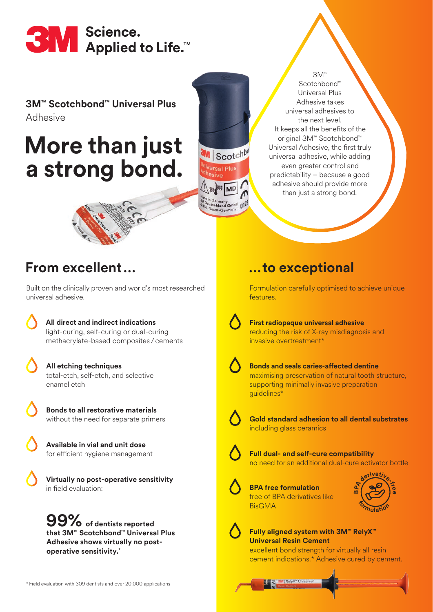

#### **3M™ Scotchbond™ Universal Plus**  Adhesive

## **More than just a strong bond.**

Scotchbond™ Universal Plus Adhesive takes universal adhesives to the next level. It keeps all the benefits of the original 3M™ Scotchbond™ Universal Adhesive, the first truly universal adhesive, while adding even greater control and predictability – because a good adhesive should provide more than just a strong bond. 3M™



## **From excellent…**

Built on the clinically proven and world's most researched universal adhesive.

> **All direct and indirect indications** light-curing, self-curing or dual-curing methacrylate-based composites /cements

 **All etching techniques** total-etch, self-etch, and selective enamel etch

 **Bonds to all restorative materials**  without the need for separate primers

 **Available in vial and unit dose**  for efficient hygiene management

 **Virtually no post-operative sensitivity**  in field evaluation:

**of dentists reported 99% that 3M™ Scotchbond™ Universal Plus Adhesive shows virtually no postoperative sensitivity.\***

#### \* Field evaluation with 309 dentists and over 20,000 applications

### **…to exceptional**

Formulation carefully optimised to achieve unique features.

Scotchb col Phis

**MD** 

hland GmbH

 $n12$ 

 **First radiopaque universal adhesive**  reducing the risk of X-ray misdiagnosis and invasive overtreatment\*

 **Bonds and seals caries-affected dentine**  maximising preservation of natural tooth structure, supporting minimally invasive preparation guidelines\*



 **Gold standard adhesion to all dental substrates** including glass ceramics

 **Full dual- and self-cure compatibility**  no need for an additional dual-cure activator bottle



 **BPA free formulation**  free of BPA derivatives like BisGMA





**Fully aligned system with 3M™ RelyX™ Universal Resin Cement** 

excellent bond strength for virtually all resin cement indications.\* Adhesive cured by cement.